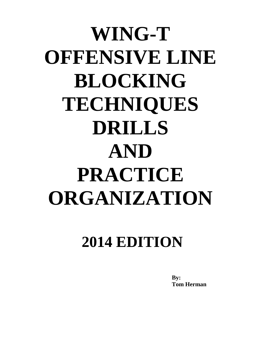# **WING-T OFFENSIVE LINE BLOCKING TECHNIQUES DRILLS AND PRACTICE ORGANIZATION**

## **2014 EDITION**

**By: Tom Herman**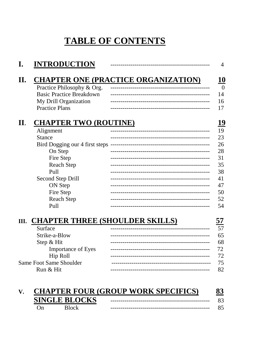### **TABLE OF CONTENTS**

| <b>INTRODUCTION</b>              |                                            |
|----------------------------------|--------------------------------------------|
|                                  | <b>CHAPTER ONE (PRACTICE ORGANIZATION)</b> |
| Practice Philosophy & Org.       |                                            |
| <b>Basic Practice Breakdown</b>  |                                            |
| My Drill Organization            |                                            |
| <b>Practice Plans</b>            |                                            |
| <b>CHAPTER TWO (ROUTINE)</b>     |                                            |
| Alignment                        |                                            |
| <b>Stance</b>                    | -----------------------------              |
| Bird Dogging our 4 first steps - |                                            |
| On Step                          |                                            |
| Fire Step                        |                                            |
| <b>Reach Step</b>                |                                            |
| Pull                             |                                            |
| Second Step Drill                |                                            |
| ON Step                          |                                            |
| Fire Step                        |                                            |
| <b>Reach Step</b>                |                                            |
| Pull                             |                                            |
|                                  | III. CHAPTER THREE (SHOULDER SKILLS)       |
| Surface                          |                                            |
| Strike-a-Blow                    |                                            |
| Step & Hit                       |                                            |
| <b>Importance of Eyes</b>        |                                            |
| Hip Roll                         |                                            |
| <b>Same Foot Same Shoulder</b>   |                                            |
| Run & Hit                        |                                            |
|                                  |                                            |

| <b>CHAPTER FOUR (GROUP WORK SPECIFICS)</b> |                      |  |    |
|--------------------------------------------|----------------------|--|----|
|                                            | <b>SINGLE BLOCKS</b> |  |    |
|                                            | <b>Block</b>         |  | 85 |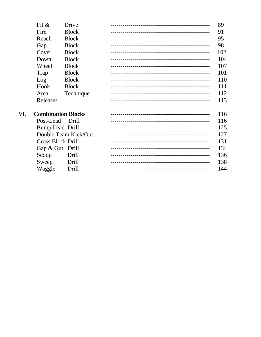| Fit $\&$           | Drive        | 89  |
|--------------------|--------------|-----|
| Fire               | <b>Block</b> | 91  |
| Reach              | <b>Block</b> | 95  |
| Gap                | <b>Block</b> | 98  |
| Cover              | <b>Block</b> | 102 |
| Down               | <b>Block</b> | 104 |
| Wheel              | <b>Block</b> | 107 |
| Trap               | <b>Block</b> | 101 |
| Log                | <b>Block</b> | 110 |
| Hook               | <b>Block</b> | 111 |
| Area               | Technique    | 112 |
| Releases           |              | 113 |
|                    |              |     |
| Combination Dlooks |              | 11< |

| VI.                  | <b>Combination Blocks</b> |              |                                        | 116 |
|----------------------|---------------------------|--------------|----------------------------------------|-----|
|                      | Post-Lead Drill           |              |                                        | 116 |
|                      | Bump Lead Drill           |              |                                        | 125 |
| Double Team Kick/Out |                           |              |                                        | 127 |
|                      | <b>Cross Block Drill</b>  |              | -------------------------------------- | 131 |
|                      | Gap & Gut Drill           |              |                                        | 134 |
|                      | Scoop                     | Drill        | -------------------------------------- | 136 |
|                      | Sweep                     | Drill        |                                        | 138 |
|                      | Waggle                    | <b>Drill</b> |                                        | 144 |
|                      |                           |              |                                        |     |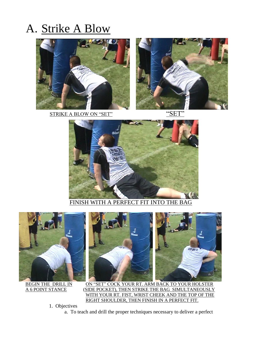## A. Strike A Blow



STRIKE A BLOW ON "SET" "SE





FINISH WITH A PERFECT FIT INTO THE BAG



BEGIN THE DRILL IN ON "SET" COCK YOUR RT. ARM BACK TO YOUR HOLSTER A 6 POINT STANCE (SIDE POCKET), THEN STRIKE THE BAG SIMULTANEOUSLY WITH YOUR RT. FIST, WRIST CHEEK AND THE TOP OF THE RIGHT SHOULDER, THEN FINISH IN A PERFECT FIT.

1. Objectives

a. To teach and drill the proper techniques necessary to deliver a perfect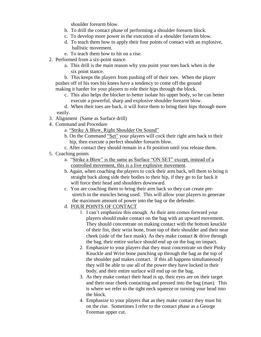shoulder forearm blow.

- b. To drill the contact phase of performing a shoulder forearm block.
- c. To develop more power in the execution of a shoulder forearm blow.
- d. To teach them how to apply their four points of contact with an explosive, ballistic movement.
- e. To teach them how to hit on a rise.
- 2. Performed from a six-point stance.
	- a. This drill is the main reason why you point your toes back when in the six point stance.
	- b. This keeps the players from pushing off of their toes. When the player pushes off of his toes his knees have a tendency to come off the ground making it harder for your players to role their hips through the block.
		- c. This also helps the blocker to better isolate his upper body, so he can better execute a powerful, sharp and explosive shoulder forearm blow.
	- d. When their toes are back, it will force them to bring their hips through more easily.
- 3. Alignment (Same as Surface drill)
- 4. Command and Procedure
	- a. "Strike A Blow, Right Shoulder On Sound"
	- b. On the Command "Set" your players will cock their right arm back to their hip, then execute a perfect shoulder forearm blow.
	- c. After contact they should remain in a fit position until you release them.
- 5. Coaching points
	- a. "Strike a Blow" is the same as Surface "ON SET" except, instead of a controlled movement, this is a live explosive movement.
	- b. Again, when coaching the players to cock their arm back, tell them to bring it straight back along side their bodies to their hip, if they go to far back it will force their head and shoulders downward.
	- c. You are coaching them to bring their arm back so they can create pre stretch in the muscles being used. This will allow your players to generate the maximum amount of power into the bag or the defender.
	- d. FOUR POINTS OF CONTACT
		- 1. I can't emphasize this enough. As their arm comes forward your players should make contact on the bag with an upward movement. They should concentrate on making contact with the bottom knuckle of their fist, their wrist bone, front top of their shoulder and their near cheek (side of the face mask). As they make contact & drive through the bag, their entire surface should end up on the bag on impact.
		- 2. Emphasize to your players that they must concentrate on their Pinky Knuckle and Wrist bone punching up through the bag as the top of the shoulder pad makes contact. If this all happens simultaneously they will be able to use all of the power they have locked in their body, and their entire surface will end up on the bag.
		- 3. As they make contact their head is up, their eyes are on their target and their near cheek contacting and pressed into the bag (man). This is where we refer to the tight neck squeeze or turning your head into the block.
		- 4. Emphasize to your players that as they make contact they must hit on the rise. Sometimes I refer to the contact phase as a George Foreman upper cut.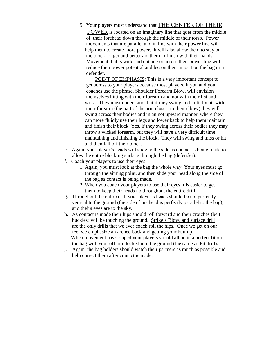5. Your players must understand that THE CENTER OF THEIR POWER is located on an imaginary line that goes from the middle of their forehead down through the middle of their torso. Power movements that are parallel and in line with their power line will help them to create more power. It will also allow them to stay on the block longer and better aid them to finish with their hands. Movement that is wide and outside or across their power line will reduce their power potential and lesson their impact on the bag or a defender.

POINT OF EMPHASIS: This is a very important concept to get across to your players because most players, if you and your coaches use the phrase, Shoulder Forearm Blow, will envision themselves hitting with their forearm and not with their fist and wrist. They must understand that if they swing and initially hit with their forearm (the part of the arm closest to their elbow) they will swing across their bodies and in an not upward manner, where they can more fluidly use their legs and lower back to help them maintain and finish their block. Yes, if they swing across their bodies they may throw a wicked forearm, but they will have a very difficult time maintaining and finishing the block. They will swing and miss or hit and then fall off their block.

- e. Again, your player's heads will slide to the side as contact is being made to allow the entire blocking surface through the bag (defender).
- f. Coach your players to use their eyes.
	- 1. Again, you must look at the bag the whole way. Your eyes must go through the aiming point, and then slide your head along the side of the bag as contact is being made.
	- 2. When you coach your players to use their eyes it is easier to get them to keep their heads up throughout the entire drill.
- g. Throughout the entire drill your player's heads should be up, perfectly vertical to the ground (the side of his head is perfectly parallel to the bag), and theirs eyes are to the sky.
- h. As contact is made their hips should roll forward and their crotches (belt buckles) will be touching the ground. Strike a Blow, and surface drill are the only drills that we ever coach roll the hips. Once we get on our feet we emphasize an arched back and getting your butt up.
- i. When movement has stopped your players should all be in a perfect fit on the bag with your off arm locked into the ground (the same as Fit drill).
- j. Again, the bag holders should watch their partners as much as possible and help correct them after contact is made.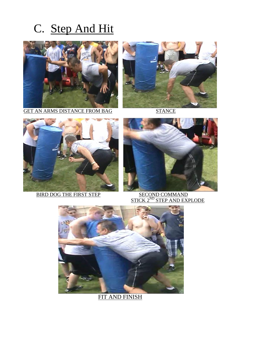## C. Step And Hit



GET AN ARMS DISTANCE FROM BAG STANCE





BIRD DOG THE FIRST STEP



 $\frac{\textrm{SECOND COMMAND}}{\textrm{STICK 2}^{\textrm{ND}}\textrm{STEP AND EXPLODE}}$ 



FIT AND FINISH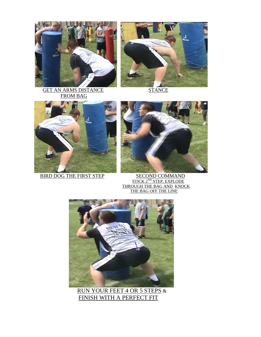



GET AN ARMS DISTANCE STANCE FROM BAG





BIRD DOG THE FIRST STEP SECOND COMMAND  $STICK\ 2^{ND}\ STEP, EXPLODE$  THROUGH THE BAG AND KNOCK THE BAG OFF THE LINE



 RUN YOUR FEET 4 OR 5 STEPS & FINISH WITH A PERFECT FIT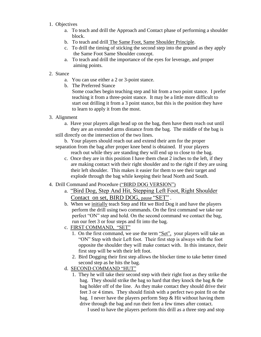- 1. Objectives
	- a. To teach and drill the Approach and Contact phase of performing a shoulder block.
	- b. To teach and drill The Same Foot, Same Shoulder Principle.
	- c. To drill the timing of sticking the second step into the ground as they apply the Same Foot Same Shoulder concept.
	- a. To teach and drill the importance of the eyes for leverage, and proper aiming points.

#### 2. Stance

- a. You can use either a 2 or 3-point stance.
- b. The Preferred Stance

 Some coaches begin teaching step and hit from a two point stance. I prefer teaching it from a three-point stance. It may be a little more difficult to start out drilling it from a 3 point stance, but this is the position they have to learn to apply it from the most.

3. Alignment

a. Have your players align head up on the bag, then have them reach out until they are an extended arms distance from the bag. The middle of the bag is still directly on the intersection of the two lines.

- b. Your players should reach out and extend their arm for the proper separation from the bag after proper knee bend is obtained. If your players reach out while they are standing they will end up to close to the bag.
	- c. Once they are in this position I have them cheat 2 inches to the left, if they are making contact with their right shoulder and to the right if they are using their left shoulder. This makes it easier for them to see their target and explode through the bag while keeping their head North and South.

#### 4. Drill Command and Procedure ("BIRD DOG VERSION")

- a. "Bird Dog, Step And Hit, Stepping Left Foot, Right Shoulder Contact on set, BIRD DOG, pause "SET" .
- b. When we initially teach Step and Hit we Bird Dog it and have the players perform the drill using two commands. On the first command we take our perfect "ON" step and hold. On the second command we contact the bag, run our feet 3 or four steps and fit into the bag.
- c. FIRST COMMAND, "SET"
	- 1. On the first command, we use the term "Set", your players will take an "ON" Step with their Left foot. Their first step is always with the foot opposite the shoulder they will make contact with. In this instance, their first step will be with their left foot.
	- 2. Bird Dogging their first step allows the blocker time to take better timed second step as he hits the bag.
- d. SECOND COMMAND "HUT"
	- 1. They he will take their second step with their right foot as they strike the bag. They should strike the bag so hard that they knock the bag & the bag holder off of the line. As they make contact they should drive their feet 3 or 4 times. They should finish with a perfect two point fit on the bag. I never have the players perform Step & Hit without having them drive through the bag and run their feet a few times after contact.

I used to have the players perform this drill as a three step and stop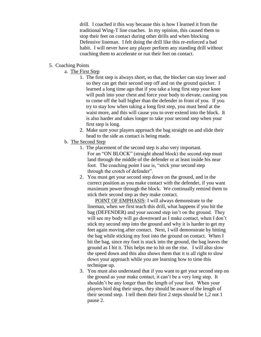drill. I coached it this way because this is how I learned it from the traditional Wing-T line coaches. In my opinion, this caused them to stop their feet on contact during other drills and when blocking Defensive lineman. I felt doing the drill like this re-enforced a bad habit. I will never have any player perform any standing drill without coaching them to accelerate or run their feet on contact.

#### 5. Coaching Points

- a. The First Step
	- 1. The first step is always short, so that, the blocker can stay lower and so they can get their second step off and on the ground quicker. I learned a long time ago that if you take a long first step your knee will push into your chest and force your body to elevate, causing you to come off the ball higher than the defender in front of you. If you try to stay low when taking a long first step, you must bend at the waist more, and this will cause you to over extend into the block. It is also harder and takes longer to take your second step when your first step is long.
	- 2. Make sure your players approach the bag straight on and slide their head to the side as contact is being made.
- b. The Second Step
	- 1. The placement of the second step is also very important. For an "ON BLOCK" (straight ahead block) the second step must land through the middle of the defender or at least inside his near foot. The coaching point I use is, "stick your second step through the crotch of defender".
	- 2. You must get your second step down on the ground, and in the correct position as you make contact with the defender, if you want maximum power through the block. We continually remind them to stick their second step as they make contact.

POINT OF EMPHASIS: I will always demonstrate to the lineman, when we first teach this drill, what happens if you hit the bag (DEFENDER) and your second step isn't on the ground. They will see my body will go downward as I make contact, when I don't stick my second step into the ground and why it is harder to get my feet again moving after contact. Next, I will demonstrate by hitting the bag while sticking my foot into the ground on contact. When I hit the bag, since my foot is stuck into the ground, the bag leaves the ground as I hit it. This helps me to hit on the rise. I will also slow the speed down and this also shows them that it is all right to slow down your approach while you are learning how to time this technique up.

3. You must also understand that if you want to get your second step on the ground as your make contact, it can't be a very long step. It shouldn't be any longer than the length of your foot. When your players bird dog their steps, they should be aware of the length of their second step. I tell them their first 2 steps should be 1,2 not 1 pause 2.